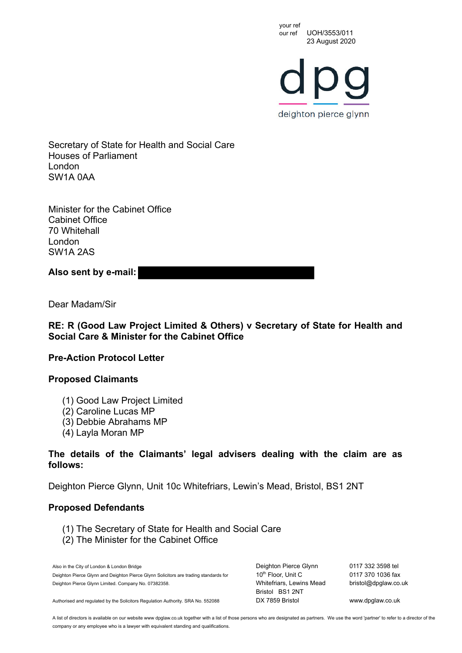your ref<br>our ref UOH/3553/011 23 August 2020

deighton pierce glynn

Secretary of State for Health and Social Care Houses of Parliament London SW1A 0AA

Minister for the Cabinet Office Cabinet Office 70 Whitehall London SW1A 2AS

**Also sent by e-mail:**

Dear Madam/Sir

**RE: R (Good Law Project Limited & Others) v Secretary of State for Health and Social Care & Minister for the Cabinet Office**

**Pre-Action Protocol Letter**

## **Proposed Claimants**

- (1) Good Law Project Limited
- (2) Caroline Lucas MP
- (3) Debbie Abrahams MP
- (4) Layla Moran MP

## **The details of the Claimants' legal advisers dealing with the claim are as follows:**

Deighton Pierce Glynn, Unit 10c Whitefriars, Lewin's Mead, Bristol, BS1 2NT

## **Proposed Defendants**

- (1) The Secretary of State for Health and Social Care
- (2) The Minister for the Cabinet Office

Also in the City of London & London Bridge Deighton Pierce Glynn and Deighton Pierce Glynn Solicitors are trading standards for Deighton Pierce Glynn Limited. Company No. 07382358.

Deighton Pierce Glynn 10<sup>th</sup> Floor, Unit C Whitefriars, Lewins Mead Bristol BS1 2NT

0117 332 3598 tel 0117 370 1036 fax bristol@dpglaw.co.uk

Authorised and regulated by the Solicitors Regulation Authority. SRA No. 552088 DX 7859 Bristol www.dpglaw.co.uk

A list of directors is available on our website www dpglaw.co.uk together with a list of those persons who are designated as partners. We use the word 'partner' to refer to a director of the company or any employee who is a lawyer with equivalent standing and qualifications.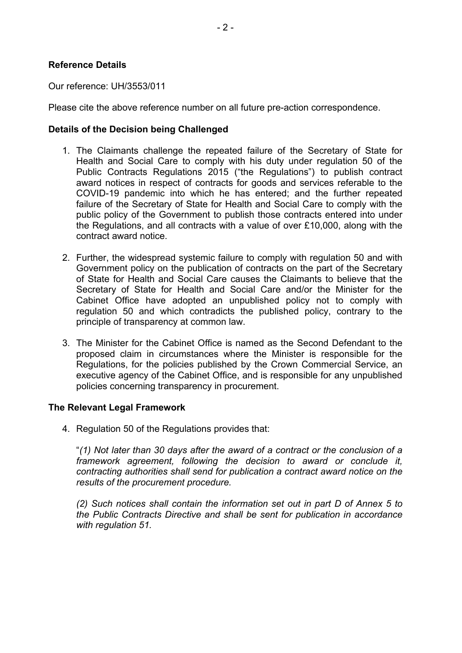## **Reference Details**

Our reference: UH/3553/011

Please cite the above reference number on all future pre-action correspondence.

### **Details of the Decision being Challenged**

- 1. The Claimants challenge the repeated failure of the Secretary of State for Health and Social Care to comply with his duty under regulation 50 of the Public Contracts Regulations 2015 ("the Regulations") to publish contract award notices in respect of contracts for goods and services referable to the COVID-19 pandemic into which he has entered; and the further repeated failure of the Secretary of State for Health and Social Care to comply with the public policy of the Government to publish those contracts entered into under the Regulations, and all contracts with a value of over £10,000, along with the contract award notice.
- 2. Further, the widespread systemic failure to comply with regulation 50 and with Government policy on the publication of contracts on the part of the Secretary of State for Health and Social Care causes the Claimants to believe that the Secretary of State for Health and Social Care and/or the Minister for the Cabinet Office have adopted an unpublished policy not to comply with regulation 50 and which contradicts the published policy, contrary to the principle of transparency at common law.
- 3. The Minister for the Cabinet Office is named as the Second Defendant to the proposed claim in circumstances where the Minister is responsible for the Regulations, for the policies published by the Crown Commercial Service, an executive agency of the Cabinet Office, and is responsible for any unpublished policies concerning transparency in procurement.

## **The Relevant Legal Framework**

4. Regulation 50 of the Regulations provides that:

"*(1) Not later than 30 days after the award of a contract or the conclusion of a framework agreement, following the decision to award or conclude it, contracting authorities shall send for publication a contract award notice on the results of the procurement procedure.*

*(2) Such notices shall contain the information set out in part D of Annex 5 to the Public Contracts Directive and shall be sent for publication in accordance with regulation 51.*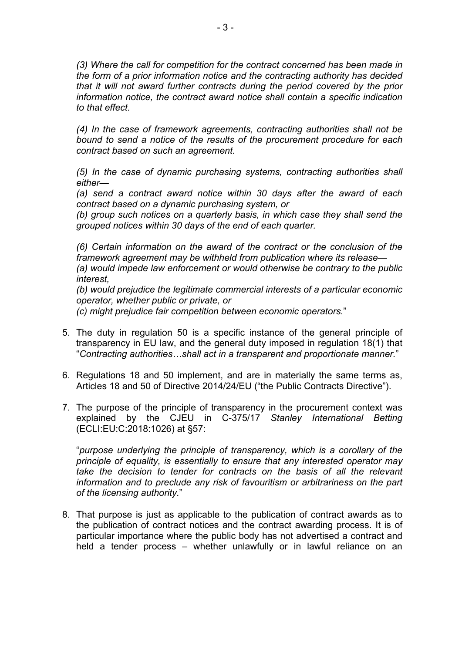*(3) Where the call for competition for the contract concerned has been made in the form of a prior information notice and the contracting authority has decided that it will not award further contracts during the period covered by the prior information notice, the contract award notice shall contain a specific indication to that effect.*

*(4) In the case of framework agreements, contracting authorities shall not be bound to send a notice of the results of the procurement procedure for each contract based on such an agreement.*

*(5) In the case of dynamic purchasing systems, contracting authorities shall either—* 

*(a) send a contract award notice within 30 days after the award of each contract based on a dynamic purchasing system, or*

*(b) group such notices on a quarterly basis, in which case they shall send the grouped notices within 30 days of the end of each quarter.*

*(6) Certain information on the award of the contract or the conclusion of the framework agreement may be withheld from publication where its release— (a) would impede law enforcement or would otherwise be contrary to the public interest,*

*(b) would prejudice the legitimate commercial interests of a particular economic operator, whether public or private, or*

*(c) might prejudice fair competition between economic operators.*"

- 5. The duty in regulation 50 is a specific instance of the general principle of transparency in EU law, and the general duty imposed in regulation 18(1) that "*Contracting authorities…shall act in a transparent and proportionate manner.*"
- 6. Regulations 18 and 50 implement, and are in materially the same terms as, Articles 18 and 50 of Directive 2014/24/EU ("the Public Contracts Directive").
- 7. The purpose of the principle of transparency in the procurement context was explained by the CJEU in C-375/17 *Stanley International Betting* (ECLI:EU:C:2018:1026) at §57:

"*purpose underlying the principle of transparency, which is a corollary of the principle of equality, is essentially to ensure that any interested operator may*  take the decision to tender for contracts on the basis of all the relevant *information and to preclude any risk of favouritism or arbitrariness on the part of the licensing authority.*"

8. That purpose is just as applicable to the publication of contract awards as to the publication of contract notices and the contract awarding process. It is of particular importance where the public body has not advertised a contract and held a tender process – whether unlawfully or in lawful reliance on an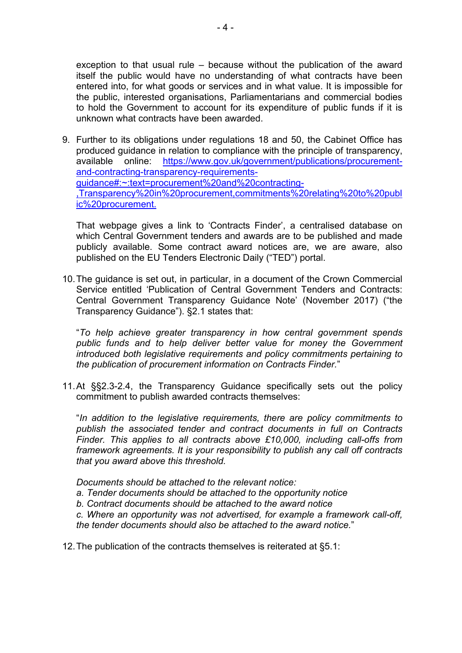exception to that usual rule – because without the publication of the award itself the public would have no understanding of what contracts have been entered into, for what goods or services and in what value. It is impossible for the public, interested organisations, Parliamentarians and commercial bodies to hold the Government to account for its expenditure of public funds if it is unknown what contracts have been awarded.

9. Further to its obligations under regulations 18 and 50, the Cabinet Office has produced guidance in relation to compliance with the principle of transparency, available online: https://www.gov.uk/government/publications/procurementand-contracting-transparency-requirementsguidance#:~:text=procurement%20and%20contracting- ,Transparency%20in%20procurement,commitments%20relating%20to%20publ ic%20procurement.

That webpage gives a link to 'Contracts Finder', a centralised database on which Central Government tenders and awards are to be published and made publicly available. Some contract award notices are, we are aware, also published on the EU Tenders Electronic Daily ("TED") portal.

10.The guidance is set out, in particular, in a document of the Crown Commercial Service entitled 'Publication of Central Government Tenders and Contracts: Central Government Transparency Guidance Note' (November 2017) ("the Transparency Guidance"). §2.1 states that:

"*To help achieve greater transparency in how central government spends public funds and to help deliver better value for money the Government introduced both legislative requirements and policy commitments pertaining to the publication of procurement information on Contracts Finder.*"

11.At §§2.3-2.4, the Transparency Guidance specifically sets out the policy commitment to publish awarded contracts themselves:

"*In addition to the legislative requirements, there are policy commitments to publish the associated tender and contract documents in full on Contracts Finder. This applies to all contracts above £10,000, including call-offs from framework agreements. It is your responsibility to publish any call off contracts that you award above this threshold.* 

*Documents should be attached to the relevant notice:* 

- *a. Tender documents should be attached to the opportunity notice*
- *b. Contract documents should be attached to the award notice*

*c. Where an opportunity was not advertised, for example a framework call-off, the tender documents should also be attached to the award notice.*"

12.The publication of the contracts themselves is reiterated at §5.1: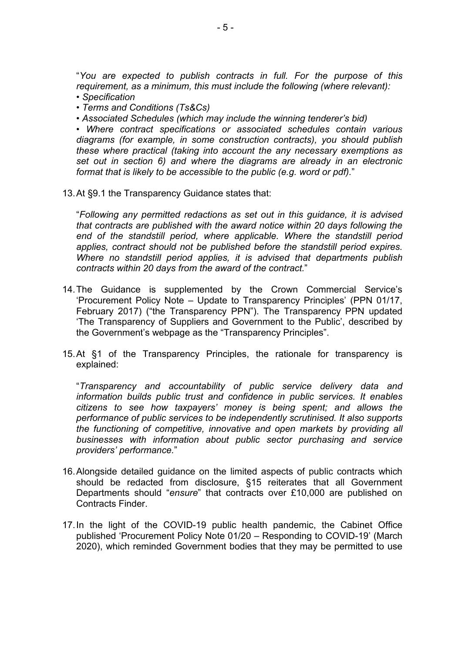"*You are expected to publish contracts in full. For the purpose of this requirement, as a minimum, this must include the following (where relevant):* 

- *Specification*
- *Terms and Conditions (Ts&Cs)*
- *Associated Schedules (which may include the winning tenderer's bid)*

*• Where contract specifications or associated schedules contain various diagrams (for example, in some construction contracts), you should publish these where practical (taking into account the any necessary exemptions as set out in section 6) and where the diagrams are already in an electronic format that is likely to be accessible to the public (e.g. word or pdf).*"

13.At §9.1 the Transparency Guidance states that:

"*Following any permitted redactions as set out in this guidance, it is advised that contracts are published with the award notice within 20 days following the end of the standstill period, where applicable. Where the standstill period applies, contract should not be published before the standstill period expires. Where no standstill period applies, it is advised that departments publish contracts within 20 days from the award of the contract.*"

- 14.The Guidance is supplemented by the Crown Commercial Service's 'Procurement Policy Note – Update to Transparency Principles' (PPN 01/17, February 2017) ("the Transparency PPN"). The Transparency PPN updated 'The Transparency of Suppliers and Government to the Public', described by the Government's webpage as the "Transparency Principles".
- 15.At §1 of the Transparency Principles, the rationale for transparency is explained:

"*Transparency and accountability of public service delivery data and information builds public trust and confidence in public services. It enables citizens to see how taxpayers' money is being spent; and allows the performance of public services to be independently scrutinised. It also supports the functioning of competitive, innovative and open markets by providing all businesses with information about public sector purchasing and service providers' performance.*"

- 16.Alongside detailed guidance on the limited aspects of public contracts which should be redacted from disclosure, §15 reiterates that all Government Departments should "*ensure*" that contracts over £10,000 are published on Contracts Finder.
- 17.In the light of the COVID-19 public health pandemic, the Cabinet Office published 'Procurement Policy Note 01/20 – Responding to COVID-19' (March 2020), which reminded Government bodies that they may be permitted to use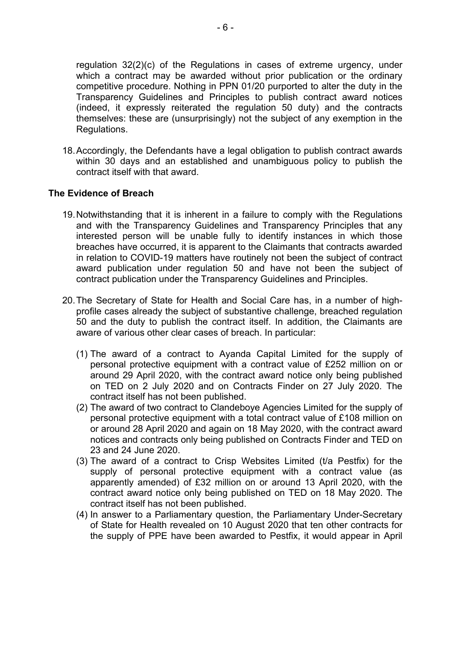regulation 32(2)(c) of the Regulations in cases of extreme urgency, under which a contract may be awarded without prior publication or the ordinary competitive procedure. Nothing in PPN 01/20 purported to alter the duty in the Transparency Guidelines and Principles to publish contract award notices (indeed, it expressly reiterated the regulation 50 duty) and the contracts themselves: these are (unsurprisingly) not the subject of any exemption in the Regulations.

18.Accordingly, the Defendants have a legal obligation to publish contract awards within 30 days and an established and unambiguous policy to publish the contract itself with that award.

# **The Evidence of Breach**

- 19.Notwithstanding that it is inherent in a failure to comply with the Regulations and with the Transparency Guidelines and Transparency Principles that any interested person will be unable fully to identify instances in which those breaches have occurred, it is apparent to the Claimants that contracts awarded in relation to COVID-19 matters have routinely not been the subject of contract award publication under regulation 50 and have not been the subject of contract publication under the Transparency Guidelines and Principles.
- 20.The Secretary of State for Health and Social Care has, in a number of highprofile cases already the subject of substantive challenge, breached regulation 50 and the duty to publish the contract itself. In addition, the Claimants are aware of various other clear cases of breach. In particular:
	- (1) The award of a contract to Ayanda Capital Limited for the supply of personal protective equipment with a contract value of £252 million on or around 29 April 2020, with the contract award notice only being published on TED on 2 July 2020 and on Contracts Finder on 27 July 2020. The contract itself has not been published.
	- (2) The award of two contract to Clandeboye Agencies Limited for the supply of personal protective equipment with a total contract value of £108 million on or around 28 April 2020 and again on 18 May 2020, with the contract award notices and contracts only being published on Contracts Finder and TED on 23 and 24 June 2020.
	- (3) The award of a contract to Crisp Websites Limited (t/a Pestfix) for the supply of personal protective equipment with a contract value (as apparently amended) of £32 million on or around 13 April 2020, with the contract award notice only being published on TED on 18 May 2020. The contract itself has not been published.
	- (4) In answer to a Parliamentary question, the Parliamentary Under-Secretary of State for Health revealed on 10 August 2020 that ten other contracts for the supply of PPE have been awarded to Pestfix, it would appear in April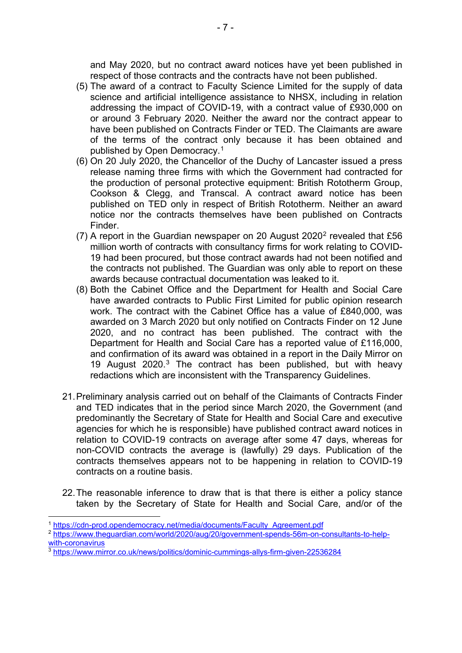and May 2020, but no contract award notices have yet been published in respect of those contracts and the contracts have not been published.

- (5) The award of a contract to Faculty Science Limited for the supply of data science and artificial intelligence assistance to NHSX, including in relation addressing the impact of COVID-19, with a contract value of £930,000 on or around 3 February 2020. Neither the award nor the contract appear to have been published on Contracts Finder or TED. The Claimants are aware of the terms of the contract only because it has been obtained and published by Open Democracy.1
- (6) On 20 July 2020, the Chancellor of the Duchy of Lancaster issued a press release naming three firms with which the Government had contracted for the production of personal protective equipment: British Rototherm Group, Cookson & Clegg, and Transcal. A contract award notice has been published on TED only in respect of British Rototherm. Neither an award notice nor the contracts themselves have been published on Contracts Finder.
- (7) A report in the Guardian newspaper on 20 August 2020 $^2$  revealed that £56 million worth of contracts with consultancy firms for work relating to COVID-19 had been procured, but those contract awards had not been notified and the contracts not published. The Guardian was only able to report on these awards because contractual documentation was leaked to it.
- (8) Both the Cabinet Office and the Department for Health and Social Care have awarded contracts to Public First Limited for public opinion research work. The contract with the Cabinet Office has a value of £840,000, was awarded on 3 March 2020 but only notified on Contracts Finder on 12 June 2020, and no contract has been published. The contract with the Department for Health and Social Care has a reported value of £116,000, and confirmation of its award was obtained in a report in the Daily Mirror on 19 August 2020.3 The contract has been published, but with heavy redactions which are inconsistent with the Transparency Guidelines.
- 21.Preliminary analysis carried out on behalf of the Claimants of Contracts Finder and TED indicates that in the period since March 2020, the Government (and predominantly the Secretary of State for Health and Social Care and executive agencies for which he is responsible) have published contract award notices in relation to COVID-19 contracts on average after some 47 days, whereas for non-COVID contracts the average is (lawfully) 29 days. Publication of the contracts themselves appears not to be happening in relation to COVID-19 contracts on a routine basis.
- 22.The reasonable inference to draw that is that there is either a policy stance taken by the Secretary of State for Health and Social Care, and/or of the

<sup>1</sup> https://cdn-prod.opendemocracy.net/media/documents/Faculty Agreement.pdf

<sup>2</sup> https://www.theguardian.com/world/2020/aug/20/government-spends-56m-on-consultants-to-help-

with-coronavirus<br><sup>3</sup> https://www.mirror.c<u>o.uk/news/politics/dominic-cummings-allys-firm-given-22536284</u>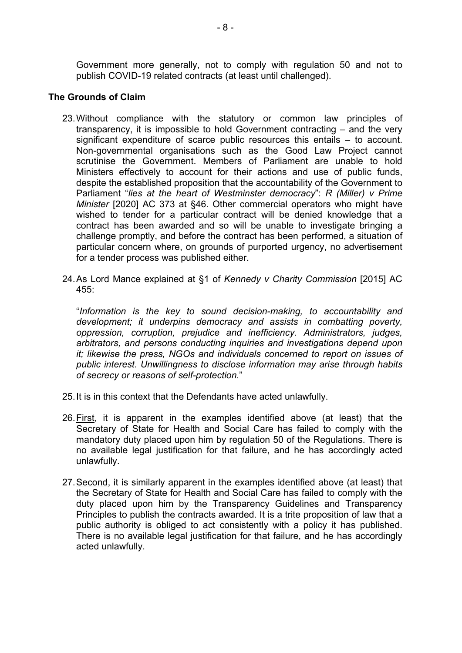Government more generally, not to comply with regulation 50 and not to publish COVID-19 related contracts (at least until challenged).

## **The Grounds of Claim**

- 23.Without compliance with the statutory or common law principles of transparency, it is impossible to hold Government contracting – and the very significant expenditure of scarce public resources this entails – to account. Non-governmental organisations such as the Good Law Project cannot scrutinise the Government. Members of Parliament are unable to hold Ministers effectively to account for their actions and use of public funds, despite the established proposition that the accountability of the Government to Parliament "*lies at the heart of Westminster democracy*": *R (Miller) v Prime Minister* [2020] AC 373 at §46. Other commercial operators who might have wished to tender for a particular contract will be denied knowledge that a contract has been awarded and so will be unable to investigate bringing a challenge promptly, and before the contract has been performed, a situation of particular concern where, on grounds of purported urgency, no advertisement for a tender process was published either.
- 24.As Lord Mance explained at §1 of *Kennedy v Charity Commission* [2015] AC  $455$

"*Information is the key to sound decision-making, to accountability and development; it underpins democracy and assists in combatting poverty, oppression, corruption, prejudice and inefficiency. Administrators, judges, arbitrators, and persons conducting inquiries and investigations depend upon it; likewise the press, NGOs and individuals concerned to report on issues of public interest. Unwillingness to disclose information may arise through habits of secrecy or reasons of self-protection.*"

- 25.It is in this context that the Defendants have acted unlawfully.
- 26.First, it is apparent in the examples identified above (at least) that the Secretary of State for Health and Social Care has failed to comply with the mandatory duty placed upon him by regulation 50 of the Regulations. There is no available legal justification for that failure, and he has accordingly acted unlawfully.
- 27.Second, it is similarly apparent in the examples identified above (at least) that the Secretary of State for Health and Social Care has failed to comply with the duty placed upon him by the Transparency Guidelines and Transparency Principles to publish the contracts awarded. It is a trite proposition of law that a public authority is obliged to act consistently with a policy it has published. There is no available legal justification for that failure, and he has accordingly acted unlawfully.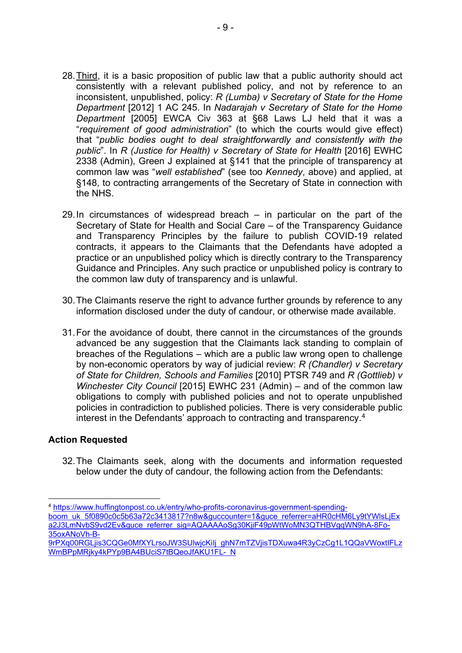- 28.Third, it is a basic proposition of public law that a public authority should act consistently with a relevant published policy, and not by reference to an inconsistent, unpublished, policy: *R (Lumba) v Secretary of State for the Home Department* [2012] 1 AC 245. In *Nadarajah v Secretary of State for the Home Department* [2005] EWCA Civ 363 at §68 Laws LJ held that it was a "*requirement of good administration*" (to which the courts would give effect) that "*public bodies ought to deal straightforwardly and consistently with the public*". In *R (Justice for Health) v Secretary of State for Health* [2016] EWHC 2338 (Admin), Green J explained at §141 that the principle of transparency at common law was "*well established*" (see too *Kennedy*, above) and applied, at §148, to contracting arrangements of the Secretary of State in connection with the NHS.
- 29.In circumstances of widespread breach in particular on the part of the Secretary of State for Health and Social Care – of the Transparency Guidance and Transparency Principles by the failure to publish COVID-19 related contracts, it appears to the Claimants that the Defendants have adopted a practice or an unpublished policy which is directly contrary to the Transparency Guidance and Principles. Any such practice or unpublished policy is contrary to the common law duty of transparency and is unlawful.
- 30.The Claimants reserve the right to advance further grounds by reference to any information disclosed under the duty of candour, or otherwise made available.
- 31.For the avoidance of doubt, there cannot in the circumstances of the grounds advanced be any suggestion that the Claimants lack standing to complain of breaches of the Regulations – which are a public law wrong open to challenge by non-economic operators by way of judicial review: *R (Chandler) v Secretary of State for Children, Schools and Families* [2010] PTSR 749 and *R (Gottlieb) v Winchester City Council* [2015] EWHC 231 (Admin) – and of the common law obligations to comply with published policies and not to operate unpublished policies in contradiction to published policies. There is very considerable public interest in the Defendants' approach to contracting and transparency.4

## **Action Requested**

32.The Claimants seek, along with the documents and information requested below under the duty of candour, the following action from the Defendants:

<sup>4</sup> https://www.huffingtonpost.co.uk/entry/who-profits-coronavirus-government-spending-

boom uk 5f0890c0c5b63a72c3413817?n8w&guccounter=1&guce referrer=aHR0cHM6Ly9tYWlsLjEx a2J3LmNvbS9vd2Ev&guce referrer sig=AQAAAAoSg30KjiF49pWtWoMN3QTHBVgqWN9hA-8Fo-35oxANoVh-B-

<sup>9</sup>rPXq00RGLjis3CQGe0MfXYLrsoJW3SUlwjcKiIj ghN7mTZVjisTDXuwa4R3yCzCg1L1QQaVWoxtIFLz WmBPpMRjky4kPYp9BA4BUciS7tBQeoJfAKU1FL- N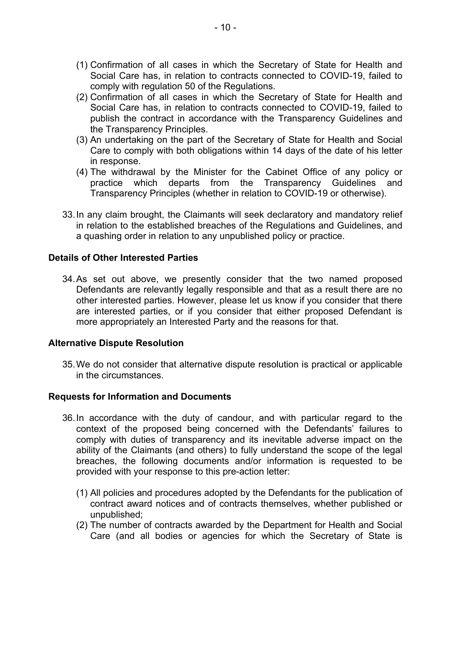- (1) Confirmation of all cases in which the Secretary of State for Health and Social Care has, in relation to contracts connected to COVID-19, failed to comply with regulation 50 of the Regulations.
- (2) Confirmation of all cases in which the Secretary of State for Health and Social Care has, in relation to contracts connected to COVID-19, failed to publish the contract in accordance with the Transparency Guidelines and the Transparency Principles.
- (3) An undertaking on the part of the Secretary of State for Health and Social Care to comply with both obligations within 14 days of the date of his letter in response.
- (4) The withdrawal by the Minister for the Cabinet Office of any policy or practice which departs from the Transparency Guidelines and Transparency Principles (whether in relation to COVID-19 or otherwise).
- 33. In any claim brought, the Claimants will seek declaratory and mandatory relief in relation to the established breaches of the Regulations and Guidelines, and a quashing order in relation to any unpublished policy or practice.

## **Details of Other Interested Parties**

34.As set out above, we presently consider that the two named proposed Defendants are relevantly legally responsible and that as a result there are no other interested parties. However, please let us know if you consider that there are interested parties, or if you consider that either proposed Defendant is more appropriately an Interested Party and the reasons for that.

## **Alternative Dispute Resolution**

35.We do not consider that alternative dispute resolution is practical or applicable in the circumstances.

#### **Requests for Information and Documents**

- 36.In accordance with the duty of candour, and with particular regard to the context of the proposed being concerned with the Defendants' failures to comply with duties of transparency and its inevitable adverse impact on the ability of the Claimants (and others) to fully understand the scope of the legal breaches, the following documents and/or information is requested to be provided with your response to this pre-action letter:
	- (1) All policies and procedures adopted by the Defendants for the publication of contract award notices and of contracts themselves, whether published or unpublished;
	- (2) The number of contracts awarded by the Department for Health and Social Care (and all bodies or agencies for which the Secretary of State is